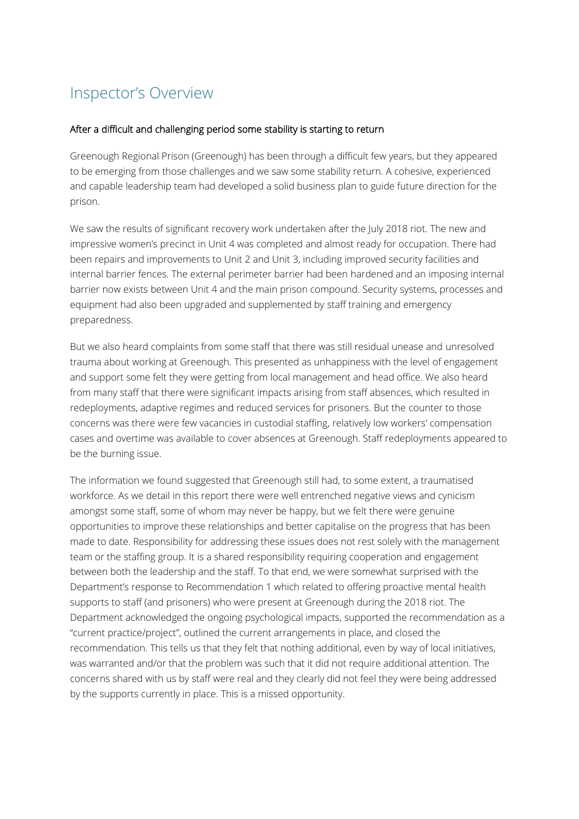## Inspector's Overview

## After a difficult and challenging period some stability is starting to return

Greenough Regional Prison (Greenough) has been through a difficult few years, but they appeared to be emerging from those challenges and we saw some stability return. A cohesive, experienced and capable leadership team had developed a solid business plan to guide future direction for the prison.

We saw the results of significant recovery work undertaken after the July 2018 riot. The new and impressive women's precinct in Unit 4 was completed and almost ready for occupation. There had been repairs and improvements to Unit 2 and Unit 3, including improved security facilities and internal barrier fences. The external perimeter barrier had been hardened and an imposing internal barrier now exists between Unit 4 and the main prison compound. Security systems, processes and equipment had also been upgraded and supplemented by staff training and emergency preparedness.

But we also heard complaints from some staff that there was still residual unease and unresolved trauma about working at Greenough. This presented as unhappiness with the level of engagement and support some felt they were getting from local management and head office. We also heard from many staff that there were significant impacts arising from staff absences, which resulted in redeployments, adaptive regimes and reduced services for prisoners. But the counter to those concerns was there were few vacancies in custodial staffing, relatively low workers' compensation cases and overtime was available to cover absences at Greenough. Staff redeployments appeared to be the burning issue.

The information we found suggested that Greenough still had, to some extent, a traumatised workforce. As we detail in this report there were well entrenched negative views and cynicism amongst some staff, some of whom may never be happy, but we felt there were genuine opportunities to improve these relationships and better capitalise on the progress that has been made to date. Responsibility for addressing these issues does not rest solely with the management team or the staffing group. It is a shared responsibility requiring cooperation and engagement between both the leadership and the staff. To that end, we were somewhat surprised with the Department's response to Recommendation 1 which related to offering proactive mental health supports to staff (and prisoners) who were present at Greenough during the 2018 riot. The Department acknowledged the ongoing psychological impacts, supported the recommendation as a "current practice/project", outlined the current arrangements in place, and closed the recommendation. This tells us that they felt that nothing additional, even by way of local initiatives, was warranted and/or that the problem was such that it did not require additional attention. The concerns shared with us by staff were real and they clearly did not feel they were being addressed by the supports currently in place. This is a missed opportunity.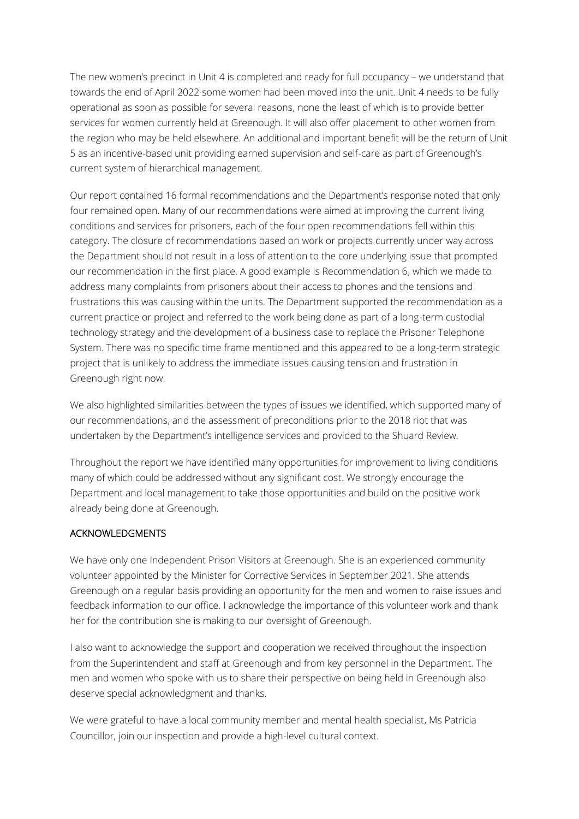The new women's precinct in Unit 4 is completed and ready for full occupancy – we understand that towards the end of April 2022 some women had been moved into the unit. Unit 4 needs to be fully operational as soon as possible for several reasons, none the least of which is to provide better services for women currently held at Greenough. It will also offer placement to other women from the region who may be held elsewhere. An additional and important benefit will be the return of Unit 5 as an incentive-based unit providing earned supervision and self-care as part of Greenough's current system of hierarchical management.

Our report contained 16 formal recommendations and the Department's response noted that only four remained open. Many of our recommendations were aimed at improving the current living conditions and services for prisoners, each of the four open recommendations fell within this category. The closure of recommendations based on work or projects currently under way across the Department should not result in a loss of attention to the core underlying issue that prompted our recommendation in the first place. A good example is Recommendation 6, which we made to address many complaints from prisoners about their access to phones and the tensions and frustrations this was causing within the units. The Department supported the recommendation as a current practice or project and referred to the work being done as part of a long-term custodial technology strategy and the development of a business case to replace the Prisoner Telephone System. There was no specific time frame mentioned and this appeared to be a long-term strategic project that is unlikely to address the immediate issues causing tension and frustration in Greenough right now.

We also highlighted similarities between the types of issues we identified, which supported many of our recommendations, and the assessment of preconditions prior to the 2018 riot that was undertaken by the Department's intelligence services and provided to the Shuard Review.

Throughout the report we have identified many opportunities for improvement to living conditions many of which could be addressed without any significant cost. We strongly encourage the Department and local management to take those opportunities and build on the positive work already being done at Greenough.

## ACKNOWLEDGMENTS

We have only one Independent Prison Visitors at Greenough. She is an experienced community volunteer appointed by the Minister for Corrective Services in September 2021. She attends Greenough on a regular basis providing an opportunity for the men and women to raise issues and feedback information to our office. I acknowledge the importance of this volunteer work and thank her for the contribution she is making to our oversight of Greenough.

I also want to acknowledge the support and cooperation we received throughout the inspection from the Superintendent and staff at Greenough and from key personnel in the Department. The men and women who spoke with us to share their perspective on being held in Greenough also deserve special acknowledgment and thanks.

We were grateful to have a local community member and mental health specialist, Ms Patricia Councillor, join our inspection and provide a high-level cultural context.